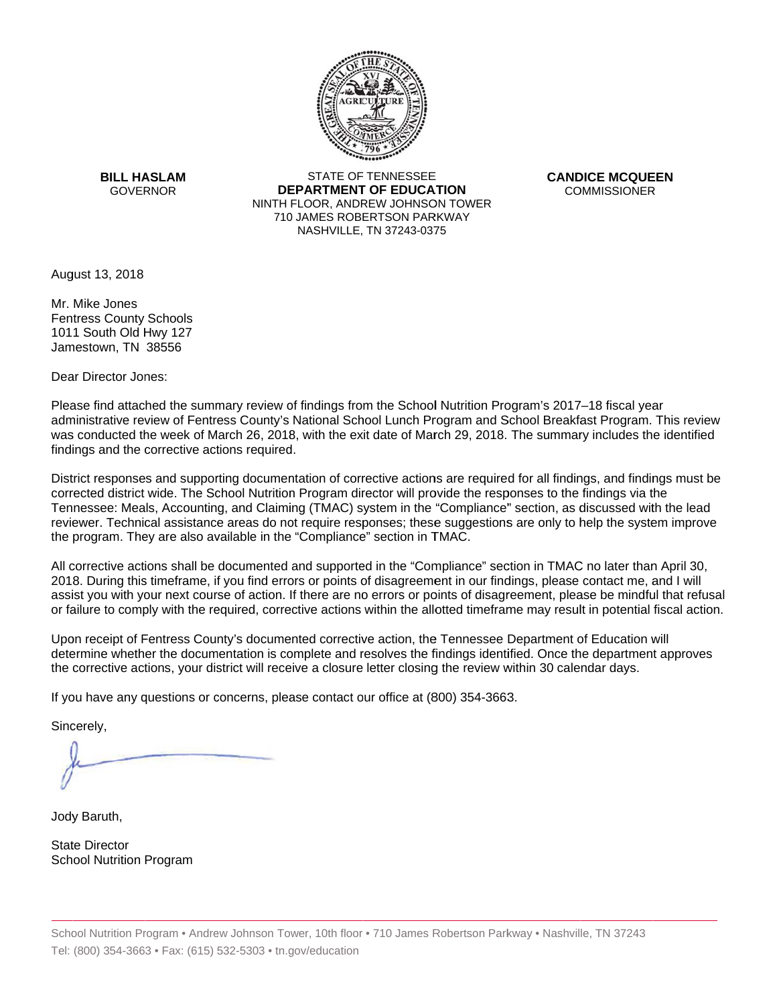

**BILL HASLAM GOVERNOR** 

**STATE OF TENNESSEE DEPARTMENT OF EDUCATION** NINTH FLOOR, ANDREW JOHNSON TOWER 710 JAMES ROBERTSON PARKWAY NASHVILLE, TN 37243-0375

**CANDICE MCQUEEN COMMISSIONER** 

August 13, 2018

Mr. Mike Jones **Fentress County Schools** 1011 South Old Hwy 127 Jamestown, TN 38556

Dear Director Jones:

Please find attached the summary review of findings from the School Nutrition Program's 2017–18 fiscal year administrative review of Fentress County's National School Lunch Program and School Breakfast Program. This review was conducted the week of March 26, 2018, with the exit date of March 29, 2018. The summary includes the identified findings and the corrective actions required.

District responses and supporting documentation of corrective actions are required for all findings, and findings must be corrected district wide. The School Nutrition Program director will provide the responses to the findings via the Tennessee: Meals, Accounting, and Claiming (TMAC) system in the "Compliance" section, as discussed with the lead reviewer. Technical assistance areas do not require responses; these suggestions are only to help the system improve the program. They are also available in the "Compliance" section in TMAC.

All corrective actions shall be documented and supported in the "Compliance" section in TMAC no later than April 30, 2018. During this timeframe, if you find errors or points of disagreement in our findings, please contact me, and I will assist you with your next course of action. If there are no errors or points of disagreement, please be mindful that refusal or failure to comply with the required, corrective actions within the allotted timeframe may result in potential fiscal action.

Upon receipt of Fentress County's documented corrective action, the Tennessee Department of Education will determine whether the documentation is complete and resolves the findings identified. Once the department approves the corrective actions, your district will receive a closure letter closing the review within 30 calendar days.

If you have any questions or concerns, please contact our office at (800) 354-3663.

Sincerely,

Jody Baruth,

**State Director School Nutrition Program**